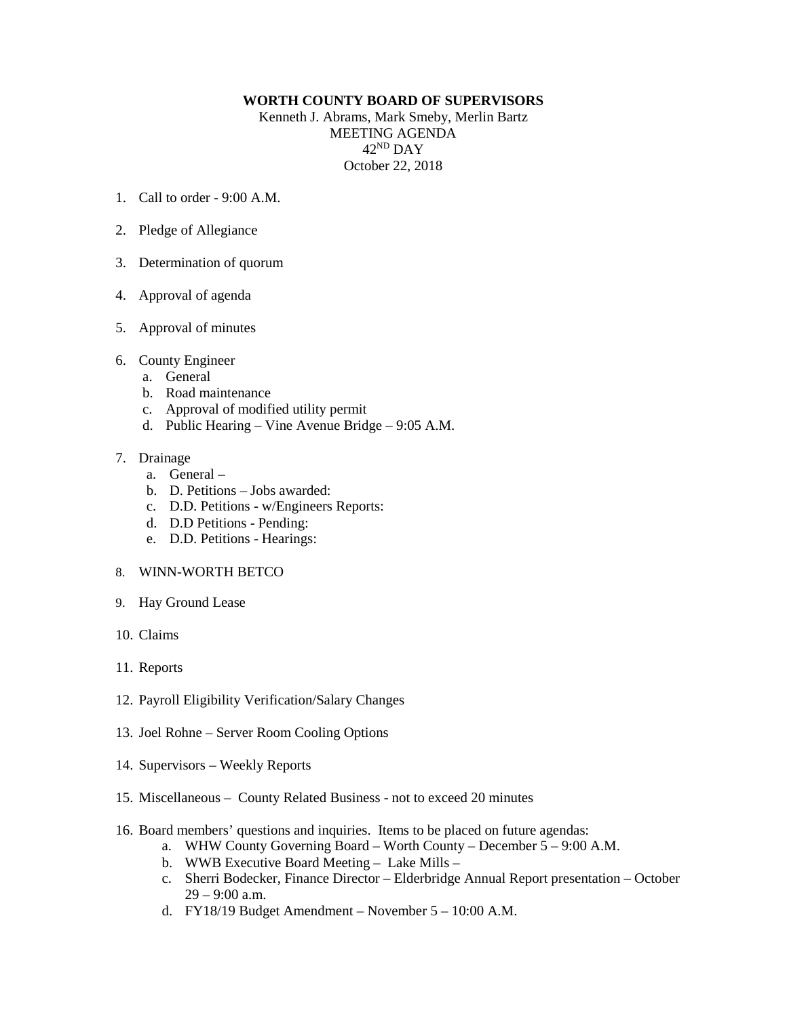## **WORTH COUNTY BOARD OF SUPERVISORS**

Kenneth J. Abrams, Mark Smeby, Merlin Bartz MEETING AGENDA 42ND DAY October 22, 2018

- 1. Call to order 9:00 A.M.
- 2. Pledge of Allegiance
- 3. Determination of quorum
- 4. Approval of agenda
- 5. Approval of minutes
- 6. County Engineer
	- a. General
	- b. Road maintenance
	- c. Approval of modified utility permit
	- d. Public Hearing Vine Avenue Bridge 9:05 A.M.

## 7. Drainage

- a. General –
- b. D. Petitions Jobs awarded:
- c. D.D. Petitions w/Engineers Reports:
- d. D.D Petitions Pending:
- e. D.D. Petitions Hearings:
- 8. WINN-WORTH BETCO
- 9. Hay Ground Lease
- 10. Claims
- 11. Reports
- 12. Payroll Eligibility Verification/Salary Changes
- 13. Joel Rohne Server Room Cooling Options
- 14. Supervisors Weekly Reports
- 15. Miscellaneous County Related Business not to exceed 20 minutes
- 16. Board members' questions and inquiries. Items to be placed on future agendas:
	- a. WHW County Governing Board Worth County December 5 9:00 A.M.
	- b. WWB Executive Board Meeting Lake Mills –
	- c. Sherri Bodecker, Finance Director Elderbridge Annual Report presentation October 29 – 9:00 a.m.
	- d. FY18/19 Budget Amendment November 5 10:00 A.M.